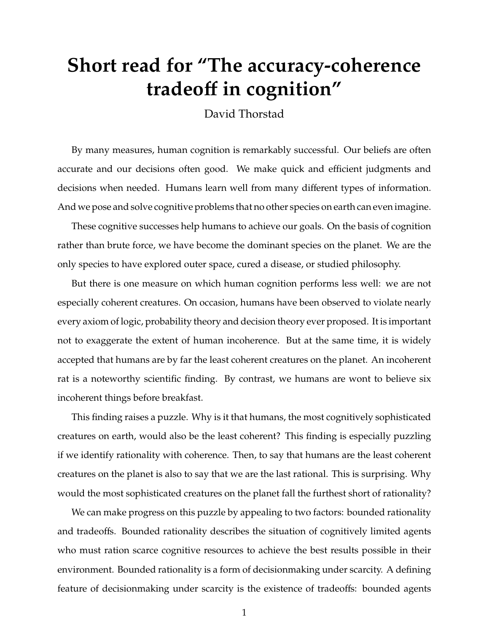## **Short read for "The accuracy-coherence tradeo**ff **in cognition"**

David Thorstad

By many measures, human cognition is remarkably successful. Our beliefs are often accurate and our decisions often good. We make quick and efficient judgments and decisions when needed. Humans learn well from many different types of information. And we pose and solve cognitive problems that no other species on earth can even imagine.

These cognitive successes help humans to achieve our goals. On the basis of cognition rather than brute force, we have become the dominant species on the planet. We are the only species to have explored outer space, cured a disease, or studied philosophy.

But there is one measure on which human cognition performs less well: we are not especially coherent creatures. On occasion, humans have been observed to violate nearly every axiom of logic, probability theory and decision theory ever proposed. It is important not to exaggerate the extent of human incoherence. But at the same time, it is widely accepted that humans are by far the least coherent creatures on the planet. An incoherent rat is a noteworthy scientific finding. By contrast, we humans are wont to believe six incoherent things before breakfast.

This finding raises a puzzle. Why is it that humans, the most cognitively sophisticated creatures on earth, would also be the least coherent? This finding is especially puzzling if we identify rationality with coherence. Then, to say that humans are the least coherent creatures on the planet is also to say that we are the last rational. This is surprising. Why would the most sophisticated creatures on the planet fall the furthest short of rationality?

We can make progress on this puzzle by appealing to two factors: bounded rationality and tradeoffs. Bounded rationality describes the situation of cognitively limited agents who must ration scarce cognitive resources to achieve the best results possible in their environment. Bounded rationality is a form of decisionmaking under scarcity. A defining feature of decisionmaking under scarcity is the existence of tradeoffs: bounded agents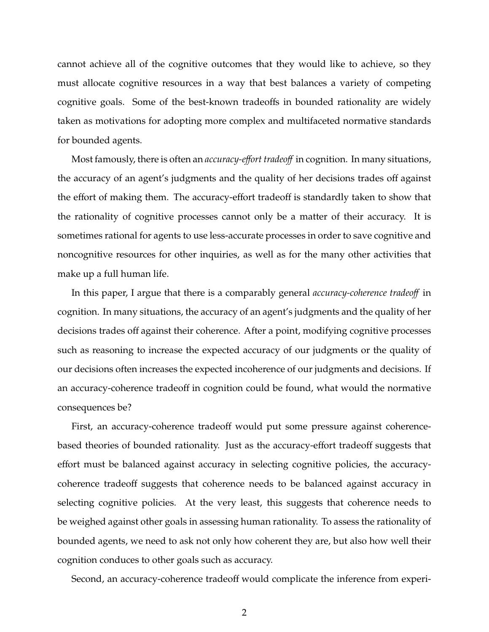cannot achieve all of the cognitive outcomes that they would like to achieve, so they must allocate cognitive resources in a way that best balances a variety of competing cognitive goals. Some of the best-known tradeoffs in bounded rationality are widely taken as motivations for adopting more complex and multifaceted normative standards for bounded agents.

Most famously, there is often an *accuracy-e*ff*ort tradeo*ff in cognition. In many situations, the accuracy of an agent's judgments and the quality of her decisions trades off against the effort of making them. The accuracy-effort tradeoff is standardly taken to show that the rationality of cognitive processes cannot only be a matter of their accuracy. It is sometimes rational for agents to use less-accurate processes in order to save cognitive and noncognitive resources for other inquiries, as well as for the many other activities that make up a full human life.

In this paper, I argue that there is a comparably general *accuracy-coherence tradeo*ff in cognition. In many situations, the accuracy of an agent's judgments and the quality of her decisions trades off against their coherence. After a point, modifying cognitive processes such as reasoning to increase the expected accuracy of our judgments or the quality of our decisions often increases the expected incoherence of our judgments and decisions. If an accuracy-coherence tradeoff in cognition could be found, what would the normative consequences be?

First, an accuracy-coherence tradeoff would put some pressure against coherencebased theories of bounded rationality. Just as the accuracy-effort tradeoff suggests that effort must be balanced against accuracy in selecting cognitive policies, the accuracycoherence tradeoff suggests that coherence needs to be balanced against accuracy in selecting cognitive policies. At the very least, this suggests that coherence needs to be weighed against other goals in assessing human rationality. To assess the rationality of bounded agents, we need to ask not only how coherent they are, but also how well their cognition conduces to other goals such as accuracy.

Second, an accuracy-coherence tradeoff would complicate the inference from experi-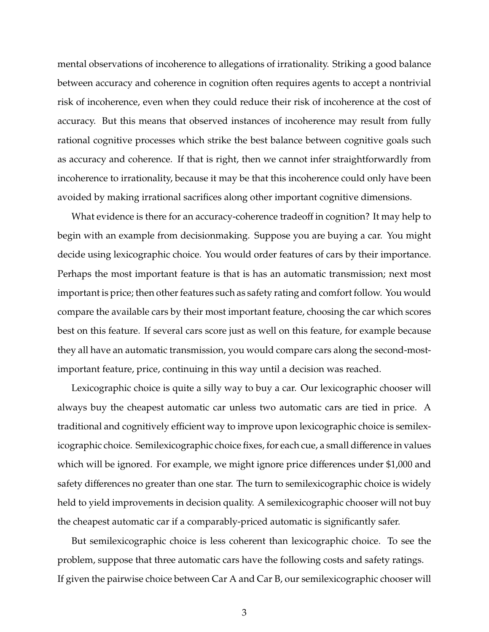mental observations of incoherence to allegations of irrationality. Striking a good balance between accuracy and coherence in cognition often requires agents to accept a nontrivial risk of incoherence, even when they could reduce their risk of incoherence at the cost of accuracy. But this means that observed instances of incoherence may result from fully rational cognitive processes which strike the best balance between cognitive goals such as accuracy and coherence. If that is right, then we cannot infer straightforwardly from incoherence to irrationality, because it may be that this incoherence could only have been avoided by making irrational sacrifices along other important cognitive dimensions.

What evidence is there for an accuracy-coherence tradeoff in cognition? It may help to begin with an example from decisionmaking. Suppose you are buying a car. You might decide using lexicographic choice. You would order features of cars by their importance. Perhaps the most important feature is that is has an automatic transmission; next most important is price; then other features such as safety rating and comfort follow. You would compare the available cars by their most important feature, choosing the car which scores best on this feature. If several cars score just as well on this feature, for example because they all have an automatic transmission, you would compare cars along the second-mostimportant feature, price, continuing in this way until a decision was reached.

Lexicographic choice is quite a silly way to buy a car. Our lexicographic chooser will always buy the cheapest automatic car unless two automatic cars are tied in price. A traditional and cognitively efficient way to improve upon lexicographic choice is semilexicographic choice. Semilexicographic choice fixes, for each cue, a small difference in values which will be ignored. For example, we might ignore price differences under \$1,000 and safety differences no greater than one star. The turn to semilexicographic choice is widely held to yield improvements in decision quality. A semilexicographic chooser will not buy the cheapest automatic car if a comparably-priced automatic is significantly safer.

But semilexicographic choice is less coherent than lexicographic choice. To see the problem, suppose that three automatic cars have the following costs and safety ratings. If given the pairwise choice between Car A and Car B, our semilexicographic chooser will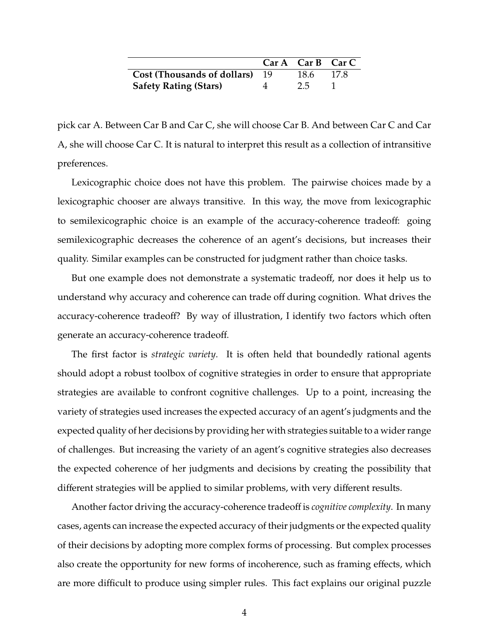|                                       |                | $Car A$ Car B Car C |      |
|---------------------------------------|----------------|---------------------|------|
| <b>Cost (Thousands of dollars)</b> 19 |                | 18.6                | 17.8 |
| <b>Safety Rating (Stars)</b>          | $\overline{4}$ | 2.5                 |      |

pick car A. Between Car B and Car C, she will choose Car B. And between Car C and Car A, she will choose Car C. It is natural to interpret this result as a collection of intransitive preferences.

Lexicographic choice does not have this problem. The pairwise choices made by a lexicographic chooser are always transitive. In this way, the move from lexicographic to semilexicographic choice is an example of the accuracy-coherence tradeoff: going semilexicographic decreases the coherence of an agent's decisions, but increases their quality. Similar examples can be constructed for judgment rather than choice tasks.

But one example does not demonstrate a systematic tradeoff, nor does it help us to understand why accuracy and coherence can trade off during cognition. What drives the accuracy-coherence tradeoff? By way of illustration, I identify two factors which often generate an accuracy-coherence tradeoff.

The first factor is *strategic variety*. It is often held that boundedly rational agents should adopt a robust toolbox of cognitive strategies in order to ensure that appropriate strategies are available to confront cognitive challenges. Up to a point, increasing the variety of strategies used increases the expected accuracy of an agent's judgments and the expected quality of her decisions by providing her with strategies suitable to a wider range of challenges. But increasing the variety of an agent's cognitive strategies also decreases the expected coherence of her judgments and decisions by creating the possibility that different strategies will be applied to similar problems, with very different results.

Another factor driving the accuracy-coherence tradeoff is *cognitive complexity*. In many cases, agents can increase the expected accuracy of their judgments or the expected quality of their decisions by adopting more complex forms of processing. But complex processes also create the opportunity for new forms of incoherence, such as framing effects, which are more difficult to produce using simpler rules. This fact explains our original puzzle